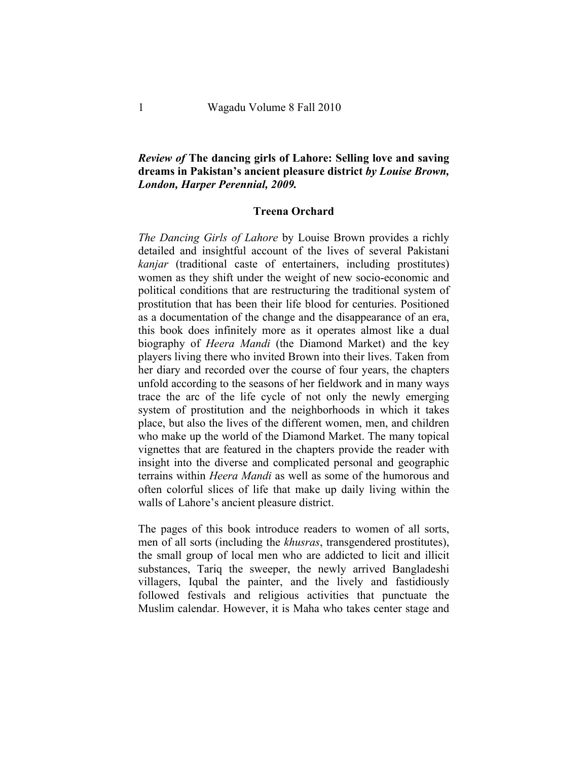## *Review of* **The dancing girls of Lahore: Selling love and saving dreams in Pakistan's ancient pleasure district** *by Louise Brown, London, Harper Perennial, 2009.*

## **Treena Orchard**

*The Dancing Girls of Lahore* by Louise Brown provides a richly detailed and insightful account of the lives of several Pakistani *kanjar* (traditional caste of entertainers, including prostitutes) women as they shift under the weight of new socio-economic and political conditions that are restructuring the traditional system of prostitution that has been their life blood for centuries. Positioned as a documentation of the change and the disappearance of an era, this book does infinitely more as it operates almost like a dual biography of *Heera Mandi* (the Diamond Market) and the key players living there who invited Brown into their lives. Taken from her diary and recorded over the course of four years, the chapters unfold according to the seasons of her fieldwork and in many ways trace the arc of the life cycle of not only the newly emerging system of prostitution and the neighborhoods in which it takes place, but also the lives of the different women, men, and children who make up the world of the Diamond Market. The many topical vignettes that are featured in the chapters provide the reader with insight into the diverse and complicated personal and geographic terrains within *Heera Mandi* as well as some of the humorous and often colorful slices of life that make up daily living within the walls of Lahore's ancient pleasure district.

The pages of this book introduce readers to women of all sorts, men of all sorts (including the *khusras*, transgendered prostitutes), the small group of local men who are addicted to licit and illicit substances, Tariq the sweeper, the newly arrived Bangladeshi villagers, Iqubal the painter, and the lively and fastidiously followed festivals and religious activities that punctuate the Muslim calendar. However, it is Maha who takes center stage and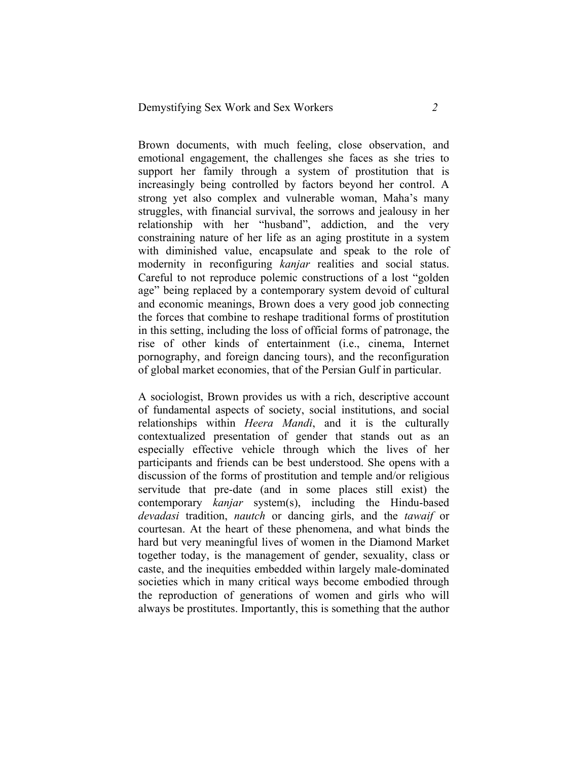Brown documents, with much feeling, close observation, and emotional engagement, the challenges she faces as she tries to support her family through a system of prostitution that is increasingly being controlled by factors beyond her control. A strong yet also complex and vulnerable woman, Maha's many struggles, with financial survival, the sorrows and jealousy in her relationship with her "husband", addiction, and the very constraining nature of her life as an aging prostitute in a system with diminished value, encapsulate and speak to the role of modernity in reconfiguring *kanjar* realities and social status. Careful to not reproduce polemic constructions of a lost "golden age" being replaced by a contemporary system devoid of cultural and economic meanings, Brown does a very good job connecting the forces that combine to reshape traditional forms of prostitution in this setting, including the loss of official forms of patronage, the rise of other kinds of entertainment (i.e., cinema, Internet pornography, and foreign dancing tours), and the reconfiguration of global market economies, that of the Persian Gulf in particular.

A sociologist, Brown provides us with a rich, descriptive account of fundamental aspects of society, social institutions, and social relationships within *Heera Mandi*, and it is the culturally contextualized presentation of gender that stands out as an especially effective vehicle through which the lives of her participants and friends can be best understood. She opens with a discussion of the forms of prostitution and temple and/or religious servitude that pre-date (and in some places still exist) the contemporary *kanjar* system(s), including the Hindu-based *devadasi* tradition, *nautch* or dancing girls, and the *tawaif* or courtesan. At the heart of these phenomena, and what binds the hard but very meaningful lives of women in the Diamond Market together today, is the management of gender, sexuality, class or caste, and the inequities embedded within largely male-dominated societies which in many critical ways become embodied through the reproduction of generations of women and girls who will always be prostitutes. Importantly, this is something that the author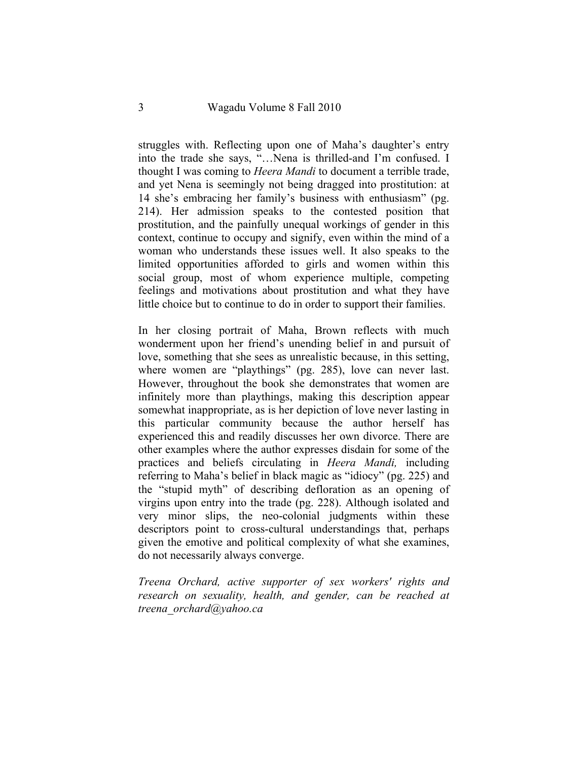struggles with. Reflecting upon one of Maha's daughter's entry into the trade she says, "…Nena is thrilled-and I'm confused. I thought I was coming to *Heera Mandi* to document a terrible trade, and yet Nena is seemingly not being dragged into prostitution: at 14 she's embracing her family's business with enthusiasm" (pg. 214). Her admission speaks to the contested position that prostitution, and the painfully unequal workings of gender in this context, continue to occupy and signify, even within the mind of a woman who understands these issues well. It also speaks to the limited opportunities afforded to girls and women within this social group, most of whom experience multiple, competing feelings and motivations about prostitution and what they have little choice but to continue to do in order to support their families.

In her closing portrait of Maha, Brown reflects with much wonderment upon her friend's unending belief in and pursuit of love, something that she sees as unrealistic because, in this setting, where women are "playthings" (pg. 285), love can never last. However, throughout the book she demonstrates that women are infinitely more than playthings, making this description appear somewhat inappropriate, as is her depiction of love never lasting in this particular community because the author herself has experienced this and readily discusses her own divorce. There are other examples where the author expresses disdain for some of the practices and beliefs circulating in *Heera Mandi,* including referring to Maha's belief in black magic as "idiocy" (pg. 225) and the "stupid myth" of describing defloration as an opening of virgins upon entry into the trade (pg. 228). Although isolated and very minor slips, the neo-colonial judgments within these descriptors point to cross-cultural understandings that, perhaps given the emotive and political complexity of what she examines, do not necessarily always converge.

*Treena Orchard, active supporter of sex workers' rights and research on sexuality, health, and gender, can be reached at treena\_orchard@yahoo.ca*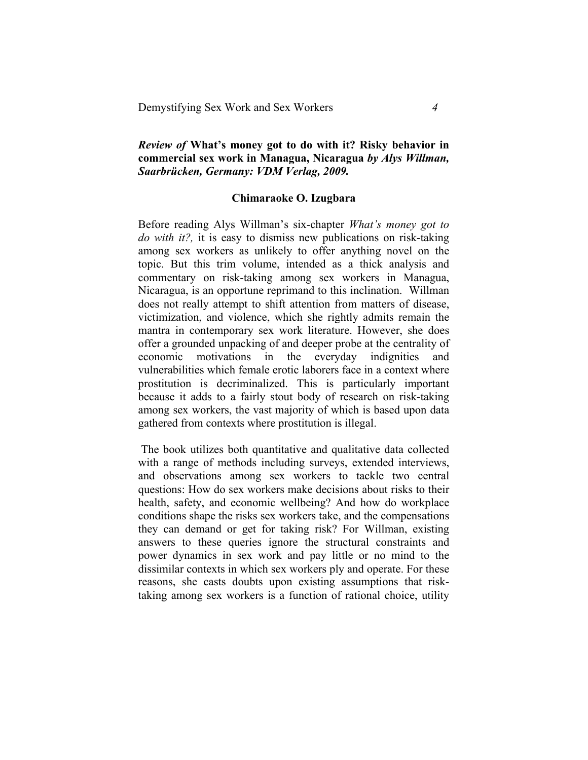## *Review of* **What's money got to do with it? Risky behavior in commercial sex work in Managua, Nicaragua** *by Alys Willman, Saarbrücken, Germany: VDM Verlag, 2009.*

## **Chimaraoke O. Izugbara**

Before reading Alys Willman's six-chapter *What's money got to do with it?,* it is easy to dismiss new publications on risk-taking among sex workers as unlikely to offer anything novel on the topic. But this trim volume, intended as a thick analysis and commentary on risk-taking among sex workers in Managua, Nicaragua, is an opportune reprimand to this inclination. Willman does not really attempt to shift attention from matters of disease, victimization, and violence, which she rightly admits remain the mantra in contemporary sex work literature. However, she does offer a grounded unpacking of and deeper probe at the centrality of economic motivations in the everyday indignities and vulnerabilities which female erotic laborers face in a context where prostitution is decriminalized. This is particularly important because it adds to a fairly stout body of research on risk-taking among sex workers, the vast majority of which is based upon data gathered from contexts where prostitution is illegal.

The book utilizes both quantitative and qualitative data collected with a range of methods including surveys, extended interviews, and observations among sex workers to tackle two central questions: How do sex workers make decisions about risks to their health, safety, and economic wellbeing? And how do workplace conditions shape the risks sex workers take, and the compensations they can demand or get for taking risk? For Willman, existing answers to these queries ignore the structural constraints and power dynamics in sex work and pay little or no mind to the dissimilar contexts in which sex workers ply and operate. For these reasons, she casts doubts upon existing assumptions that risktaking among sex workers is a function of rational choice, utility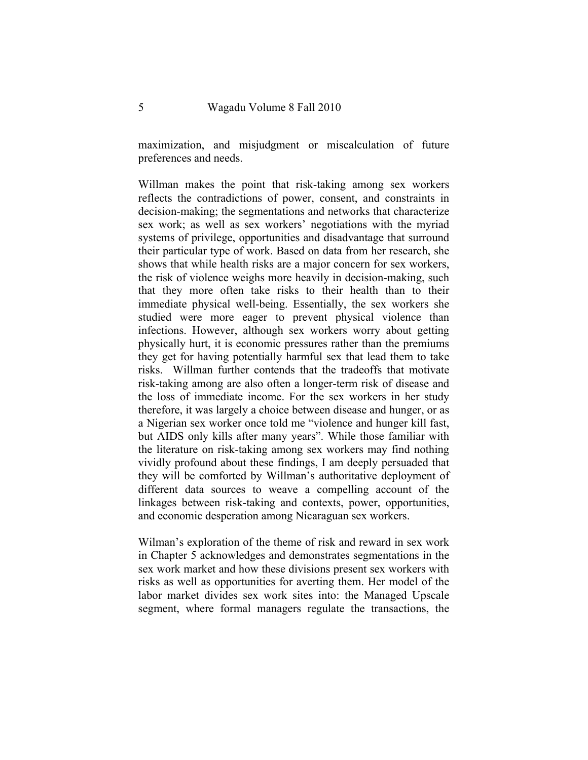maximization, and misjudgment or miscalculation of future preferences and needs.

Willman makes the point that risk-taking among sex workers reflects the contradictions of power, consent, and constraints in decision-making; the segmentations and networks that characterize sex work; as well as sex workers' negotiations with the myriad systems of privilege, opportunities and disadvantage that surround their particular type of work. Based on data from her research, she shows that while health risks are a major concern for sex workers, the risk of violence weighs more heavily in decision-making, such that they more often take risks to their health than to their immediate physical well-being. Essentially, the sex workers she studied were more eager to prevent physical violence than infections. However, although sex workers worry about getting physically hurt, it is economic pressures rather than the premiums they get for having potentially harmful sex that lead them to take risks. Willman further contends that the tradeoffs that motivate risk-taking among are also often a longer-term risk of disease and the loss of immediate income. For the sex workers in her study therefore, it was largely a choice between disease and hunger, or as a Nigerian sex worker once told me "violence and hunger kill fast, but AIDS only kills after many years". While those familiar with the literature on risk-taking among sex workers may find nothing vividly profound about these findings, I am deeply persuaded that they will be comforted by Willman's authoritative deployment of different data sources to weave a compelling account of the linkages between risk-taking and contexts, power, opportunities, and economic desperation among Nicaraguan sex workers.

Wilman's exploration of the theme of risk and reward in sex work in Chapter 5 acknowledges and demonstrates segmentations in the sex work market and how these divisions present sex workers with risks as well as opportunities for averting them. Her model of the labor market divides sex work sites into: the Managed Upscale segment, where formal managers regulate the transactions, the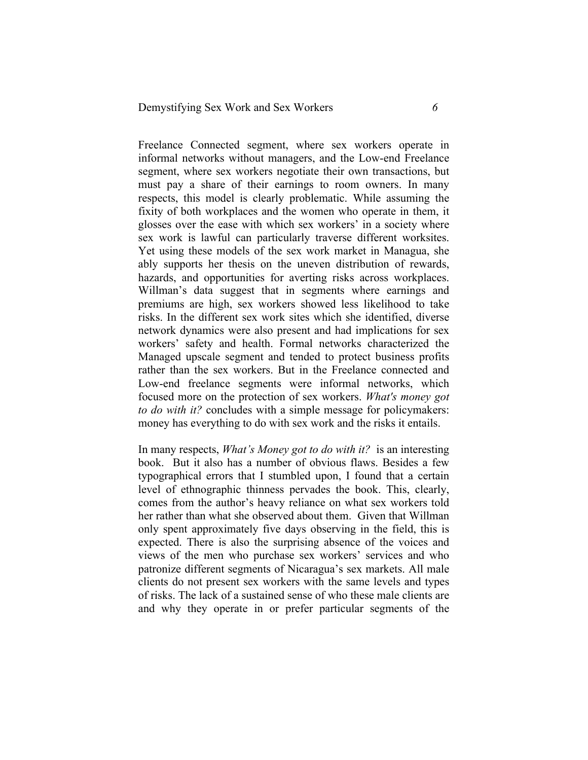Freelance Connected segment, where sex workers operate in informal networks without managers, and the Low-end Freelance segment, where sex workers negotiate their own transactions, but must pay a share of their earnings to room owners. In many respects, this model is clearly problematic. While assuming the fixity of both workplaces and the women who operate in them, it glosses over the ease with which sex workers' in a society where sex work is lawful can particularly traverse different worksites. Yet using these models of the sex work market in Managua, she ably supports her thesis on the uneven distribution of rewards, hazards, and opportunities for averting risks across workplaces. Willman's data suggest that in segments where earnings and premiums are high, sex workers showed less likelihood to take risks. In the different sex work sites which she identified, diverse network dynamics were also present and had implications for sex workers' safety and health. Formal networks characterized the Managed upscale segment and tended to protect business profits rather than the sex workers. But in the Freelance connected and Low-end freelance segments were informal networks, which focused more on the protection of sex workers. *What's money got to do with it?* concludes with a simple message for policymakers: money has everything to do with sex work and the risks it entails.

In many respects, *What's Money got to do with it?* is an interesting book. But it also has a number of obvious flaws. Besides a few typographical errors that I stumbled upon, I found that a certain level of ethnographic thinness pervades the book. This, clearly, comes from the author's heavy reliance on what sex workers told her rather than what she observed about them. Given that Willman only spent approximately five days observing in the field, this is expected. There is also the surprising absence of the voices and views of the men who purchase sex workers' services and who patronize different segments of Nicaragua's sex markets. All male clients do not present sex workers with the same levels and types of risks. The lack of a sustained sense of who these male clients are and why they operate in or prefer particular segments of the